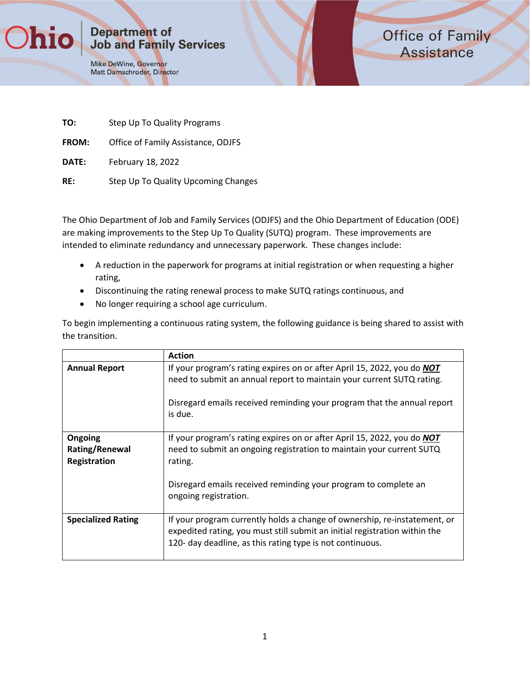**Department of Job and Family Services** 

Mike DeWine, Governor Matt Damschroder, Director **Office of Family Assistance** 

| TO:          | Step Up To Quality Programs         |
|--------------|-------------------------------------|
| <b>FROM:</b> | Office of Family Assistance, ODJFS  |
| DATE:        | February 18, 2022                   |
| RE:          | Step Up To Quality Upcoming Changes |

The Ohio Department of Job and Family Services (ODJFS) and the Ohio Department of Education (ODE) are making improvements to the Step Up To Quality (SUTQ) program. These improvements are intended to eliminate redundancy and unnecessary paperwork. These changes include:

- A reduction in the paperwork for programs at initial registration or when requesting a higher rating,
- Discontinuing the rating renewal process to make SUTQ ratings continuous, and
- No longer requiring a school age curriculum.

To begin implementing a continuous rating system, the following guidance is being shared to assist with the transition.

|                                           | <b>Action</b>                                                                                                                                                                                                                                                 |
|-------------------------------------------|---------------------------------------------------------------------------------------------------------------------------------------------------------------------------------------------------------------------------------------------------------------|
| <b>Annual Report</b>                      | If your program's rating expires on or after April 15, 2022, you do NOT<br>need to submit an annual report to maintain your current SUTQ rating.<br>Disregard emails received reminding your program that the annual report<br>is due.                        |
| Ongoing<br>Rating/Renewal<br>Registration | If your program's rating expires on or after April 15, 2022, you do <b>NOT</b><br>need to submit an ongoing registration to maintain your current SUTQ<br>rating.<br>Disregard emails received reminding your program to complete an<br>ongoing registration. |
| <b>Specialized Rating</b>                 | If your program currently holds a change of ownership, re-instatement, or<br>expedited rating, you must still submit an initial registration within the<br>120- day deadline, as this rating type is not continuous.                                          |